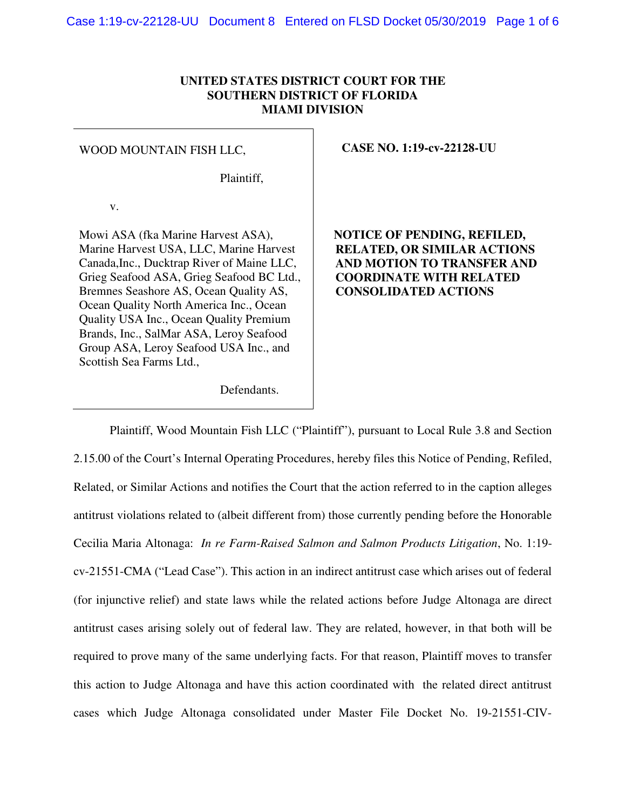## **UNITED STATES DISTRICT COURT FOR THE SOUTHERN DISTRICT OF FLORIDA MIAMI DIVISION**

#### WOOD MOUNTAIN FISH LLC,

Plaintiff,

v.

Mowi ASA (fka Marine Harvest ASA), Marine Harvest USA, LLC, Marine Harvest Canada,Inc., Ducktrap River of Maine LLC, Grieg Seafood ASA, Grieg Seafood BC Ltd., Bremnes Seashore AS, Ocean Quality AS, Ocean Quality North America Inc., Ocean Quality USA Inc., Ocean Quality Premium Brands, Inc., SalMar ASA, Leroy Seafood Group ASA, Leroy Seafood USA Inc., and Scottish Sea Farms Ltd.,

#### **CASE NO. 1:19-cv-22128-UU**

 **NOTICE OF PENDING, REFILED, RELATED, OR SIMILAR ACTIONS AND MOTION TO TRANSFER AND COORDINATE WITH RELATED CONSOLIDATED ACTIONS**

Defendants.

 Plaintiff, Wood Mountain Fish LLC ("Plaintiff"), pursuant to Local Rule 3.8 and Section 2.15.00 of the Court's Internal Operating Procedures, hereby files this Notice of Pending, Refiled, Related, or Similar Actions and notifies the Court that the action referred to in the caption alleges antitrust violations related to (albeit different from) those currently pending before the Honorable Cecilia Maria Altonaga: *In re Farm-Raised Salmon and Salmon Products Litigation*, No. 1:19 cv-21551-CMA ("Lead Case"). This action in an indirect antitrust case which arises out of federal (for injunctive relief) and state laws while the related actions before Judge Altonaga are direct antitrust cases arising solely out of federal law. They are related, however, in that both will be required to prove many of the same underlying facts. For that reason, Plaintiff moves to transfer this action to Judge Altonaga and have this action coordinated with the related direct antitrust cases which Judge Altonaga consolidated under Master File Docket No. 19-21551-CIV-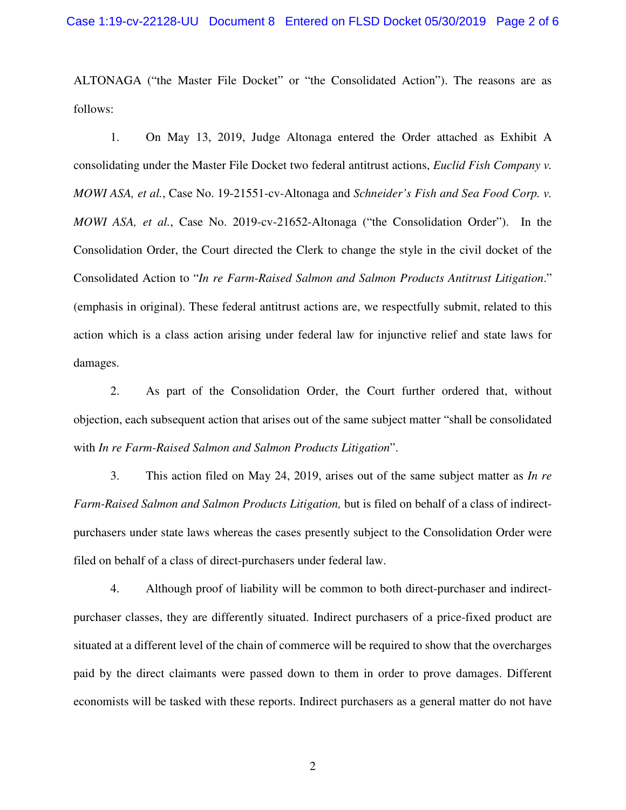ALTONAGA ("the Master File Docket" or "the Consolidated Action"). The reasons are as follows:

1. On May 13, 2019, Judge Altonaga entered the Order attached as Exhibit A consolidating under the Master File Docket two federal antitrust actions, *Euclid Fish Company v. MOWI ASA, et al.*, Case No. 19-21551-cv-Altonaga and *Schneider's Fish and Sea Food Corp. v. MOWI ASA, et al.*, Case No. 2019-cv-21652-Altonaga ("the Consolidation Order"). In the Consolidation Order, the Court directed the Clerk to change the style in the civil docket of the Consolidated Action to "*In re Farm-Raised Salmon and Salmon Products Antitrust Litigation*." (emphasis in original). These federal antitrust actions are, we respectfully submit, related to this action which is a class action arising under federal law for injunctive relief and state laws for damages.

2. As part of the Consolidation Order, the Court further ordered that, without objection, each subsequent action that arises out of the same subject matter "shall be consolidated with *In re Farm-Raised Salmon and Salmon Products Litigation*".

3. This action filed on May 24, 2019, arises out of the same subject matter as *In re Farm-Raised Salmon and Salmon Products Litigation,* but is filed on behalf of a class of indirectpurchasers under state laws whereas the cases presently subject to the Consolidation Order were filed on behalf of a class of direct-purchasers under federal law.

4. Although proof of liability will be common to both direct-purchaser and indirectpurchaser classes, they are differently situated. Indirect purchasers of a price-fixed product are situated at a different level of the chain of commerce will be required to show that the overcharges paid by the direct claimants were passed down to them in order to prove damages. Different economists will be tasked with these reports. Indirect purchasers as a general matter do not have

2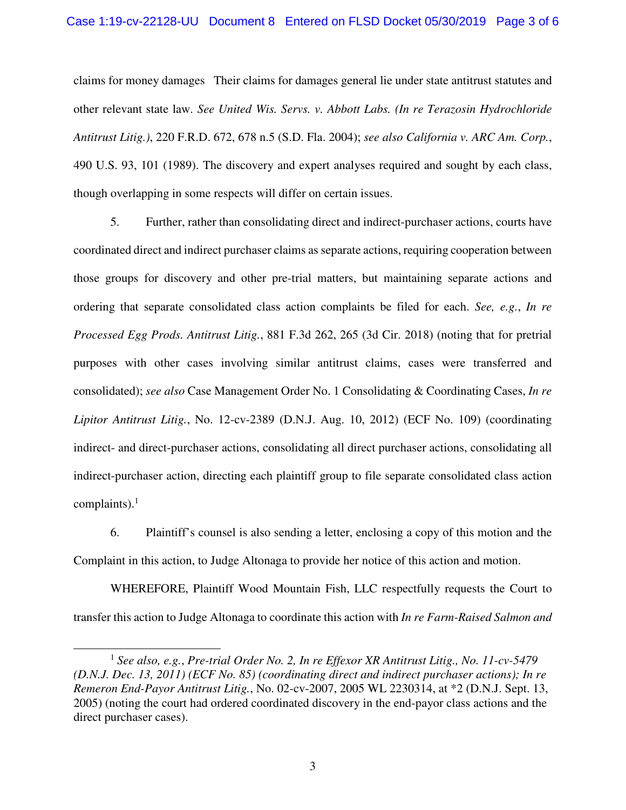### Case 1:19-cv-22128-UU Document 8 Entered on FLSD Docket 05/30/2019 Page 3 of 6

claims for money damages Their claims for damages general lie under state antitrust statutes and other relevant state law. *See United Wis. Servs. v. Abbott Labs. (In re Terazosin Hydrochloride Antitrust Litig.)*, 220 F.R.D. 672, 678 n.5 (S.D. Fla. 2004); *see also California v. ARC Am. Corp.*, 490 U.S. 93, 101 (1989). The discovery and expert analyses required and sought by each class, though overlapping in some respects will differ on certain issues.

5. Further, rather than consolidating direct and indirect-purchaser actions, courts have coordinated direct and indirect purchaser claims as separate actions, requiring cooperation between those groups for discovery and other pre-trial matters, but maintaining separate actions and ordering that separate consolidated class action complaints be filed for each. *See, e.g.*, *In re Processed Egg Prods. Antitrust Litig.*, 881 F.3d 262, 265 (3d Cir. 2018) (noting that for pretrial purposes with other cases involving similar antitrust claims, cases were transferred and consolidated); *see also* Case Management Order No. 1 Consolidating & Coordinating Cases, *In re Lipitor Antitrust Litig.*, No. 12-cv-2389 (D.N.J. Aug. 10, 2012) (ECF No. 109) (coordinating indirect- and direct-purchaser actions, consolidating all direct purchaser actions, consolidating all indirect-purchaser action, directing each plaintiff group to file separate consolidated class action complaints). $<sup>1</sup>$ </sup>

6. Plaintiff's counsel is also sending a letter, enclosing a copy of this motion and the Complaint in this action, to Judge Altonaga to provide her notice of this action and motion.

WHEREFORE, Plaintiff Wood Mountain Fish, LLC respectfully requests the Court to transfer this action to Judge Altonaga to coordinate this action with *In re Farm-Raised Salmon and* 

-

<sup>&</sup>lt;sup>1</sup> See also, e.g., Pre-trial Order No. 2, In re Effexor XR Antitrust Litig., No. 11-cv-5479 *(D.N.J. Dec. 13, 2011) (ECF No. 85) (coordinating direct and indirect purchaser actions); In re Remeron End-Payor Antitrust Litig.*, No. 02-cv-2007, 2005 WL 2230314, at \*2 (D.N.J. Sept. 13, 2005) (noting the court had ordered coordinated discovery in the end-payor class actions and the direct purchaser cases).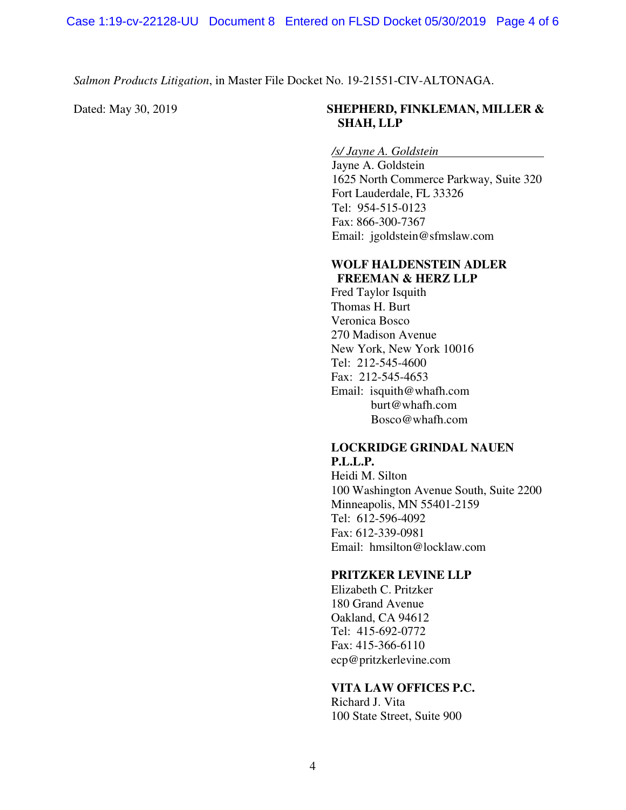*Salmon Products Litigation*, in Master File Docket No. 19-21551-CIV-ALTONAGA.

# Dated: May 30, 2019 **SHEPHERD, FINKLEMAN, MILLER & SHAH, LLP**

*/s/ Jayne A. Goldstein* 

Jayne A. Goldstein 1625 North Commerce Parkway, Suite 320 Fort Lauderdale, FL 33326 Tel: 954-515-0123 Fax: 866-300-7367 Email: jgoldstein@sfmslaw.com

#### **WOLF HALDENSTEIN ADLER FREEMAN & HERZ LLP**

Fred Taylor Isquith Thomas H. Burt Veronica Bosco 270 Madison Avenue New York, New York 10016 Tel: 212-545-4600 Fax: 212-545-4653 Email: isquith@whafh.com burt@whafh.com Bosco@whafh.com

## **LOCKRIDGE GRINDAL NAUEN P.L.L.P.**

Heidi M. Silton 100 Washington Avenue South, Suite 2200 Minneapolis, MN 55401-2159 Tel: 612-596-4092 Fax: 612-339-0981 Email: hmsilton@locklaw.com

## **PRITZKER LEVINE LLP**

Elizabeth C. Pritzker 180 Grand Avenue Oakland, CA 94612 Tel: 415-692-0772 Fax: 415-366-6110 ecp@pritzkerlevine.com

# **VITA LAW OFFICES P.C.**

Richard J. Vita 100 State Street, Suite 900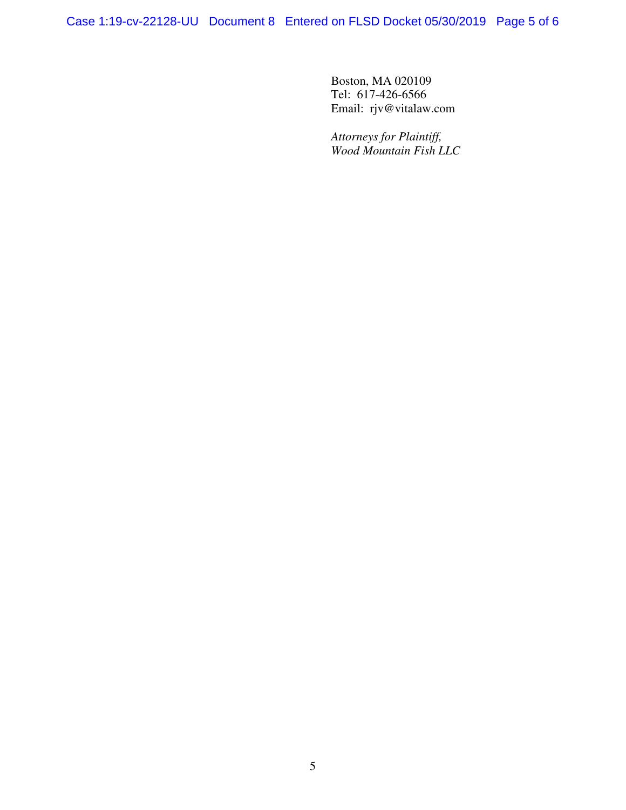Case 1:19-cv-22128-UU Document 8 Entered on FLSD Docket 05/30/2019 Page 5 of 6

Boston, MA 020109 Tel: 617-426-6566 Email: rjv@vitalaw.com

*Attorneys for Plaintiff, Wood Mountain Fish LLC*